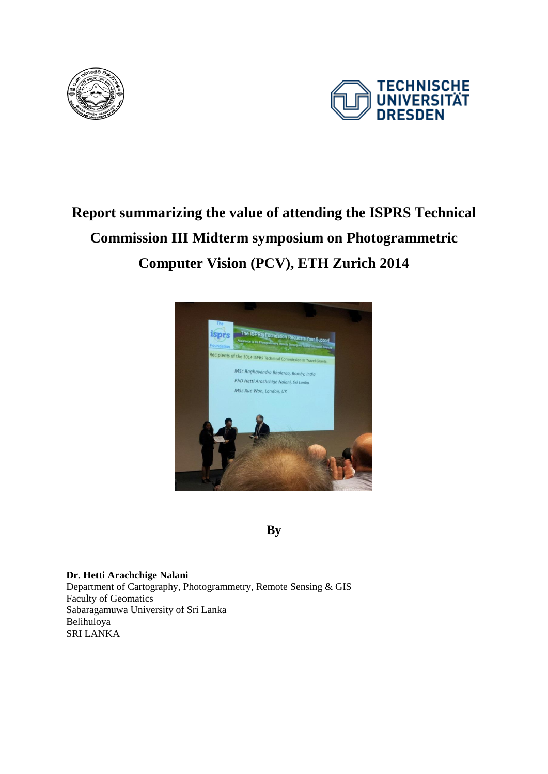



## **Report summarizing the value of attending the ISPRS Technical Commission III Midterm symposium on Photogrammetric Computer Vision (PCV), ETH Zurich 2014**



**By** 

**Dr. Hetti Arachchige Nalani** Department of Cartography, Photogrammetry, Remote Sensing & GIS Faculty of Geomatics Sabaragamuwa University of Sri Lanka Belihuloya SRI LANKA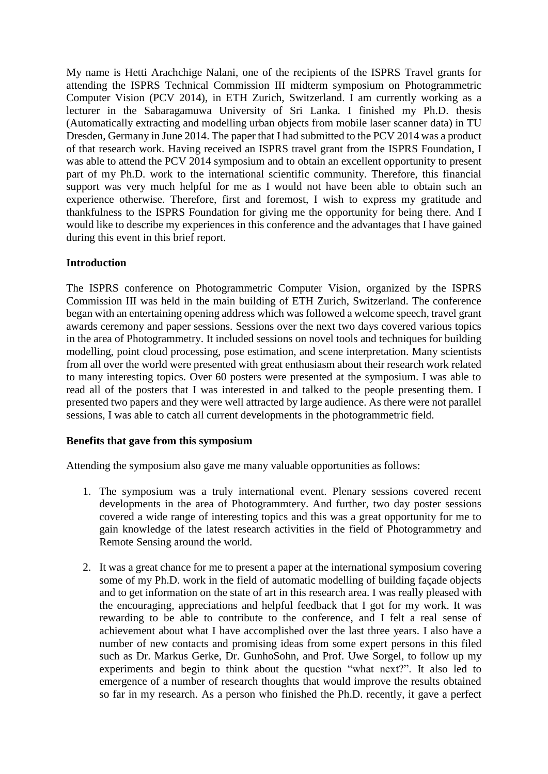My name is Hetti Arachchige Nalani, one of the recipients of the ISPRS Travel grants for attending the ISPRS Technical Commission III midterm symposium on Photogrammetric Computer Vision (PCV 2014), in ETH Zurich, Switzerland. I am currently working as a lecturer in the Sabaragamuwa University of Sri Lanka. I finished my Ph.D. thesis (Automatically extracting and modelling urban objects from mobile laser scanner data) in TU Dresden, Germany in June 2014. The paper that I had submitted to the PCV 2014 was a product of that research work. Having received an ISPRS travel grant from the ISPRS Foundation, I was able to attend the PCV 2014 symposium and to obtain an excellent opportunity to present part of my Ph.D. work to the international scientific community. Therefore, this financial support was very much helpful for me as I would not have been able to obtain such an experience otherwise. Therefore, first and foremost, I wish to express my gratitude and thankfulness to the ISPRS Foundation for giving me the opportunity for being there. And I would like to describe my experiences in this conference and the advantages that I have gained during this event in this brief report.

## **Introduction**

The ISPRS conference on Photogrammetric Computer Vision, organized by the ISPRS Commission III was held in the main building of ETH Zurich, Switzerland. The conference began with an entertaining opening address which was followed a welcome speech, travel grant awards ceremony and paper sessions. Sessions over the next two days covered various topics in the area of Photogrammetry. It included sessions on novel tools and techniques for building modelling, point cloud processing, pose estimation, and scene interpretation. Many scientists from all over the world were presented with great enthusiasm about their research work related to many interesting topics. Over 60 posters were presented at the symposium. I was able to read all of the posters that I was interested in and talked to the people presenting them. I presented two papers and they were well attracted by large audience. As there were not parallel sessions, I was able to catch all current developments in the photogrammetric field.

## **Benefits that gave from this symposium**

Attending the symposium also gave me many valuable opportunities as follows:

- 1. The symposium was a truly international event. Plenary sessions covered recent developments in the area of Photogrammtery. And further, two day poster sessions covered a wide range of interesting topics and this was a great opportunity for me to gain knowledge of the latest research activities in the field of Photogrammetry and Remote Sensing around the world.
- 2. It was a great chance for me to present a paper at the international symposium covering some of my Ph.D. work in the field of automatic modelling of building façade objects and to get information on the state of art in this research area. I was really pleased with the encouraging, appreciations and helpful feedback that I got for my work. It was rewarding to be able to contribute to the conference, and I felt a real sense of achievement about what I have accomplished over the last three years. I also have a number of new contacts and promising ideas from some expert persons in this filed such as Dr. Markus Gerke, Dr. GunhoSohn, and Prof. Uwe Sorgel, to follow up my experiments and begin to think about the question "what next?". It also led to emergence of a number of research thoughts that would improve the results obtained so far in my research. As a person who finished the Ph.D. recently, it gave a perfect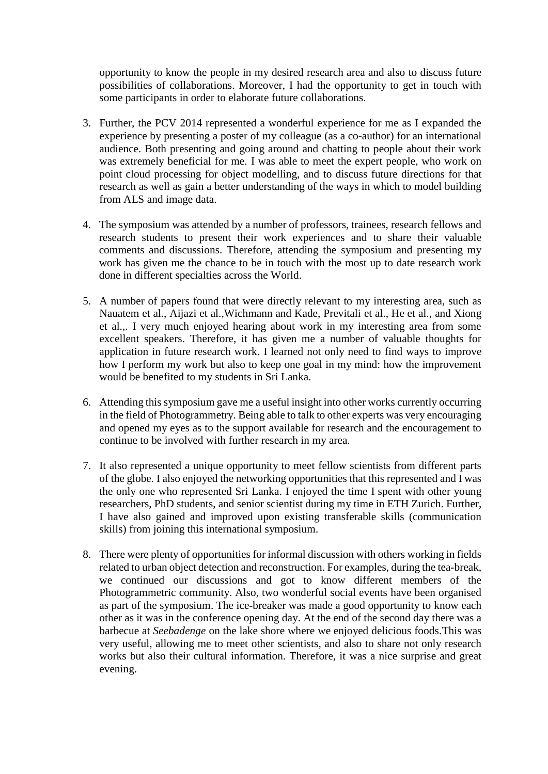opportunity to know the people in my desired research area and also to discuss future possibilities of collaborations. Moreover, I had the opportunity to get in touch with some participants in order to elaborate future collaborations.

- 3. Further, the PCV 2014 represented a wonderful experience for me as I expanded the experience by presenting a poster of my colleague (as a co-author) for an international audience. Both presenting and going around and chatting to people about their work was extremely beneficial for me. I was able to meet the expert people, who work on point cloud processing for object modelling, and to discuss future directions for that research as well as gain a better understanding of the ways in which to model building from ALS and image data.
- 4. The symposium was attended by a number of professors, trainees, research fellows and research students to present their work experiences and to share their valuable comments and discussions. Therefore, attending the symposium and presenting my work has given me the chance to be in touch with the most up to date research work done in different specialties across the World.
- 5. A number of papers found that were directly relevant to my interesting area, such as Nauatem et al., Aijazi et al.,Wichmann and Kade, Previtali et al., He et al., and Xiong et al.,. I very much enjoyed hearing about work in my interesting area from some excellent speakers. Therefore, it has given me a number of valuable thoughts for application in future research work. I learned not only need to find ways to improve how I perform my work but also to keep one goal in my mind: how the improvement would be benefited to my students in Sri Lanka.
- 6. Attending this symposium gave me a useful insight into other works currently occurring in the field of Photogrammetry. Being able to talk to other experts was very encouraging and opened my eyes as to the support available for research and the encouragement to continue to be involved with further research in my area.
- 7. It also represented a unique opportunity to meet fellow scientists from different parts of the globe. I also enjoyed the networking opportunities that this represented and I was the only one who represented Sri Lanka. I enjoyed the time I spent with other young researchers, PhD students, and senior scientist during my time in ETH Zurich. Further, I have also gained and improved upon existing transferable skills (communication skills) from joining this international symposium.
- 8. There were plenty of opportunities for informal discussion with others working in fields related to urban object detection and reconstruction. For examples, during the tea-break, we continued our discussions and got to know different members of the Photogrammetric community. Also, two wonderful social events have been organised as part of the symposium. The ice-breaker was made a good opportunity to know each other as it was in the conference opening day. At the end of the second day there was a barbecue at *Seebadenge* on the lake shore where we enjoyed delicious foods.This was very useful, allowing me to meet other scientists, and also to share not only research works but also their cultural information. Therefore, it was a nice surprise and great evening.